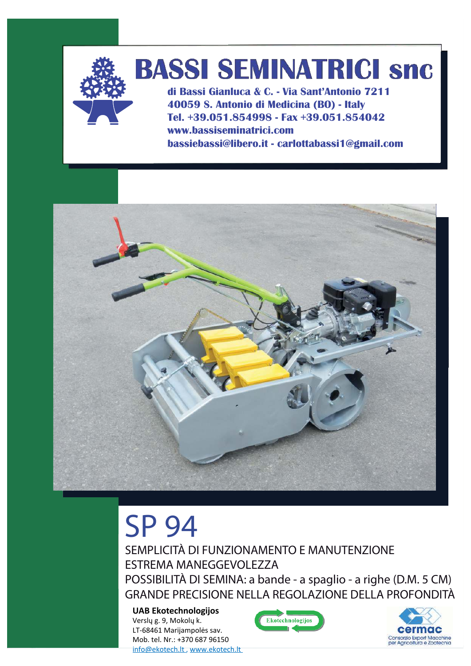

## **BASSI SEMINATRICI snc**

di Bassi Gianluca & C. - Via Sant'Antonio 7211 40059 S. Antonio di Medicina (BO) - Italy Tel. +39.051.854998 - Fax +39.051.854042 www.bassiseminatrici.com bassiebassi@libero.it - carlottabassi1@gmail.com



## **SP 94**

SEMPLICITÀ DI FUNZIONAMENTO E MANUTENZIONE **ESTREMA MANEGGEVOLEZZA** POSSIBILITÀ DI SEMINA: a bande - a spaglio - a righe (D.M. 5 CM) GRANDE PRECISIONE NELLA REGOLAZIONE DELLA PROFONDITÀ

**UAB Ekotechnologijos** Verslų g. 9, Mokolų k. LT-68461 Marijampolės sav. Mob. tel. Nr.: +370 687 96150 info@ekotech.lt, www.ekotech.lt